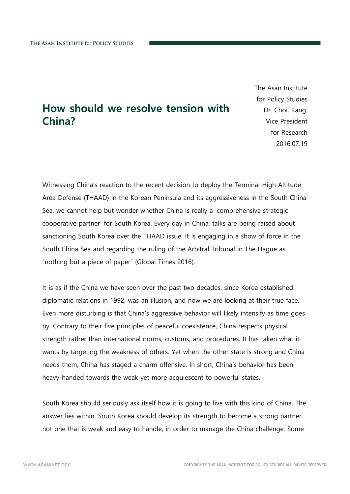## How should we resolve tension with China?

The Asan Institute for Policy Studies Dr. Choi, Kang. Vice President for Research 2016.07.19

Witnessing China's reaction to the recent decision to deploy the Terminal High Altitude Area Defense (THAAD) in the Korean Peninsula and its aggressiveness in the South China Sea, we cannot help but wonder whether China is really a 'comprehensive strategic cooperative partner' for South Korea. Every day in China, talks are being raised about sanctioning South Korea over the THAAD issue. It is engaging in a show of force in the South China Sea and regarding the ruling of the Arbitral Tribunal in The Hague as "nothing but a piece of paper" (Global Times 2016).

It is as if the China we have seen over the past two decades, since Korea established diplomatic relations in 1992, was an illusion, and now we are looking at their true face. Even more disturbing is that China's aggressive behavior will likely intensify as time goes by. Contrary to their five principles of peaceful coexistence, China respects physical strength rather than international norms, customs, and procedures. It has taken what it wants by targeting the weakness of others. Yet when the other state is strong and China needs them, China has staged a charm offensive. In short, China's behavior has been heavy-handed towards the weak yet more acquiescent to powerful states.

South Korea should seriously ask itself how it is going to live with this kind of China. The answer lies within. South Korea should develop its strength to become a strong partner, not one that is weak and easy to handle, in order to manage the China challenge. Some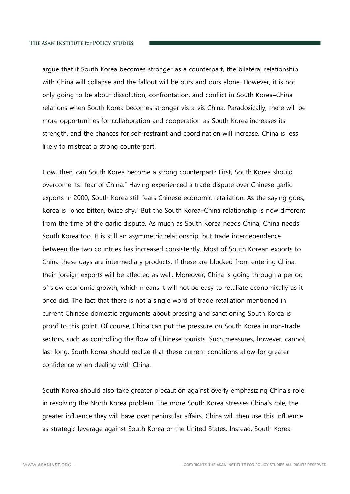argue that if South Korea becomes stronger as a counterpart, the bilateral relationship with China will collapse and the fallout will be ours and ours alone. However, it is not only going to be about dissolution, confrontation, and conflict in South Korea–China relations when South Korea becomes stronger vis-a-vis China. Paradoxically, there will be more opportunities for collaboration and cooperation as South Korea increases its strength, and the chances for self-restraint and coordination will increase. China is less likely to mistreat a strong counterpart.

How, then, can South Korea become a strong counterpart? First, South Korea should overcome its "fear of China." Having experienced a trade dispute over Chinese garlic exports in 2000, South Korea still fears Chinese economic retaliation. As the saying goes, Korea is "once bitten, twice shy." But the South Korea–China relationship is now different from the time of the garlic dispute. As much as South Korea needs China, China needs South Korea too. It is still an asymmetric relationship, but trade interdependence between the two countries has increased consistently. Most of South Korean exports to China these days are intermediary products. If these are blocked from entering China, their foreign exports will be affected as well. Moreover, China is going through a period of slow economic growth, which means it will not be easy to retaliate economically as it once did. The fact that there is not a single word of trade retaliation mentioned in current Chinese domestic arguments about pressing and sanctioning South Korea is proof to this point. Of course, China can put the pressure on South Korea in non-trade sectors, such as controlling the flow of Chinese tourists. Such measures, however, cannot last long. South Korea should realize that these current conditions allow for greater confidence when dealing with China.

South Korea should also take greater precaution against overly emphasizing China's role in resolving the North Korea problem. The more South Korea stresses China's role, the greater influence they will have over peninsular affairs. China will then use this influence as strategic leverage against South Korea or the United States. Instead, South Korea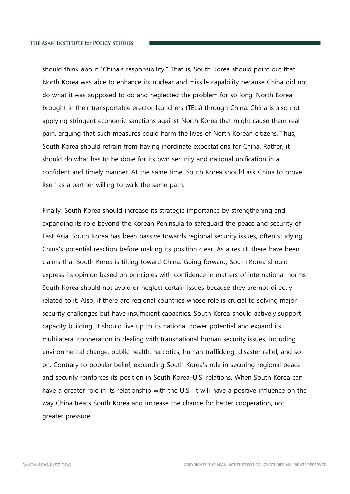should think about "China's responsibility." That is, South Korea should point out that North Korea was able to enhance its nuclear and missile capability because China did not do what it was supposed to do and neglected the problem for so long. North Korea brought in their transportable erector launchers (TELs) through China. China is also not applying stringent economic sanctions against North Korea that might cause them real pain, arguing that such measures could harm the lives of North Korean citizens. Thus, South Korea should refrain from having inordinate expectations for China. Rather, it should do what has to be done for its own security and national unification in a confident and timely manner. At the same time, South Korea should ask China to prove itself as a partner willing to walk the same path.

Finally, South Korea should increase its strategic importance by strengthening and expanding its role beyond the Korean Peninsula to safeguard the peace and security of East Asia. South Korea has been passive towards regional security issues, often studying China's potential reaction before making its position clear. As a result, there have been claims that South Korea is tilting toward China. Going forward, South Korea should express its opinion based on principles with confidence in matters of international norms. South Korea should not avoid or neglect certain issues because they are not directly related to it. Also, if there are regional countries whose role is crucial to solving major security challenges but have insufficient capacities, South Korea should actively support capacity building. It should live up to its national power potential and expand its multilateral cooperation in dealing with transnational human security issues, including environmental change, public health, narcotics, human trafficking, disaster relief, and so on. Contrary to popular belief, expanding South Korea's role in securing regional peace and security reinforces its position in South Korea–U.S. relations. When South Korea can have a greater role in its relationship with the U.S., it will have a positive influence on the way China treats South Korea and increase the chance for better cooperation, not greater pressure.